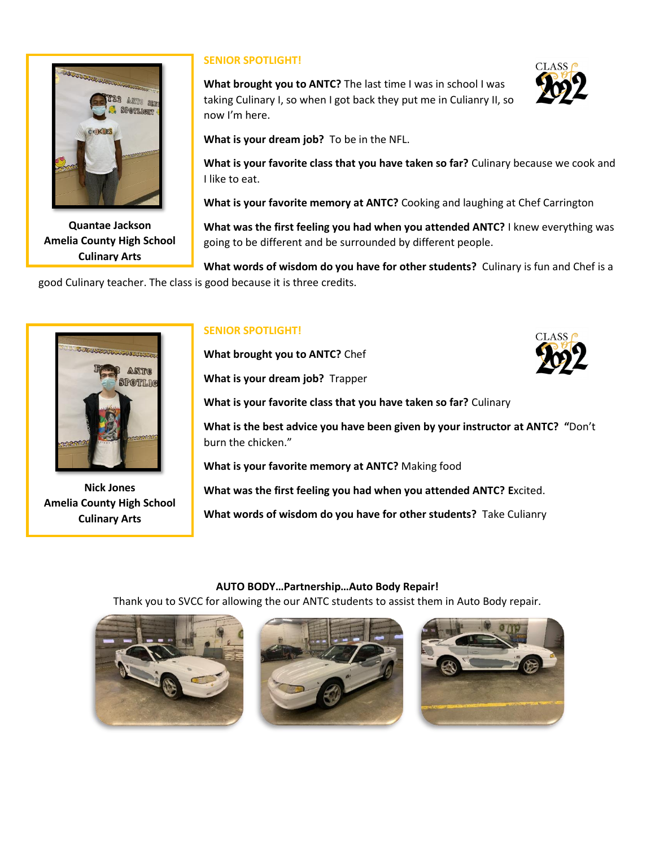

**Quantae Jackson Amelia County High School Culinary Arts**

## **SENIOR SPOTLIGHT!**

**What brought you to ANTC?** The last time I was in school I was taking Culinary I, so when I got back they put me in Culianry II, so now I'm here.



**What is your dream job?** To be in the NFL.

**What is your favorite class that you have taken so far?** Culinary because we cook and I like to eat.

**What is your favorite memory at ANTC?** Cooking and laughing at Chef Carrington

**What was the first feeling you had when you attended ANTC?** I knew everything was going to be different and be surrounded by different people.

**What words of wisdom do you have for other students?** Culinary is fun and Chef is a good Culinary teacher. The class is good because it is three credits.



**Nick Jones Amelia County High School Culinary Arts**

## **SENIOR SPOTLIGHT!**

**What brought you to ANTC?** Chef

**What is your dream job?** Trapper



**What is your favorite class that you have taken so far?** Culinary

**What is the best advice you have been given by your instructor at ANTC? "**Don't burn the chicken."

**What is your favorite memory at ANTC?** Making food

**What was the first feeling you had when you attended ANTC? E**xcited.

**What words of wisdom do you have for other students?** Take Culianry

## **AUTO BODY…Partnership…Auto Body Repair!**

Thank you to SVCC for allowing the our ANTC students to assist them in Auto Body repair.